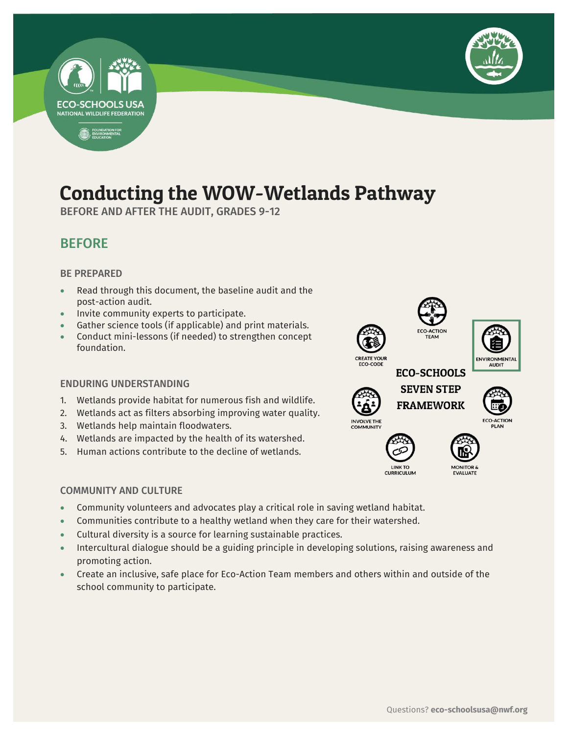

# Conducting the WOW-Wetlands Pathway

BEFORE AND AFTER THE AUDIT, GRADES 9-12

# BEFORE

# BE PREPARED

**ECO-SCHOOLS USA NATIONAL WILDLIFE FEDERATION** 

FOUNDATION FOR

- Read through this document, the baseline audit and the post-action audit.
- Invite community experts to participate.
- Gather science tools (if applicable) and print materials.
- Conduct mini-lessons (if needed) to strengthen concept foundation.

## ENDURING UNDERSTANDING

- 1. Wetlands provide habitat for numerous fish and wildlife.
- 2. Wetlands act as filters absorbing improving water quality.
- 3. Wetlands help maintain floodwaters.
- 4. Wetlands are impacted by the health of its watershed.
- 5. Human actions contribute to the decline of wetlands.

## COMMUNITY AND CULTURE

- Community volunteers and advocates play a critical role in saving wetland habitat.
- Communities contribute to a healthy wetland when they care for their watershed.
- Cultural diversity is a source for learning sustainable practices.
- Intercultural dialogue should be a guiding principle in developing solutions, raising awareness and promoting action.
- Create an inclusive, safe place for Eco-Action Team members and others within and outside of the school community to participate.





CO-CODE



LINK TO<br>CURRICULUM







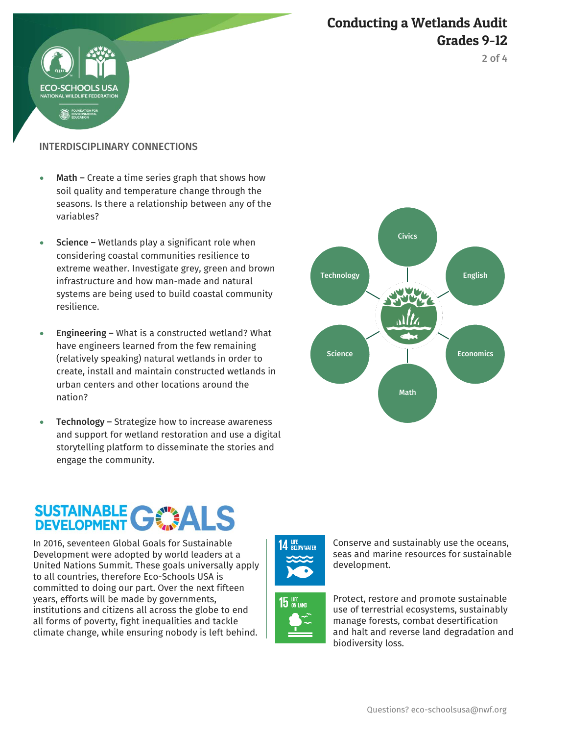

2 of 4

# INTERDISCIPLINARY CONNECTIONS

HOOLS US

- Math Create a time series graph that shows how soil quality and temperature change through the seasons. Is there a relationship between any of the variables?
- $\bullet$  Science Wetlands play a significant role when considering coastal communities resilience to extreme weather. Investigate grey, green and brown infrastructure and how man-made and natural systems are being used to build coastal community resilience.
- Engineering What is a constructed wetland? What have engineers learned from the few remaining (relatively speaking) natural wetlands in order to create, install and maintain constructed wetlands in urban centers and other locations around the nation?
- Technology Strategize how to increase awareness and support for wetland restoration and use a digital storytelling platform to disseminate the stories and engage the community.



# SUSTAINABLE C

In 2016, seventeen Global Goals for Sustainable Development were adopted by world leaders at a United Nations Summit. These goals universally apply to all countries, therefore Eco-Schools USA is committed to doing our part. Over the next fifteen years, efforts will be made by governments, institutions and citizens all across the globe to end all forms of poverty, fight inequalities and tackle climate change, while ensuring nobody is left behind.







Protect, restore and promote sustainable use of terrestrial ecosystems, sustainably manage forests, combat desertification and halt and reverse land degradation and

biodiversity loss.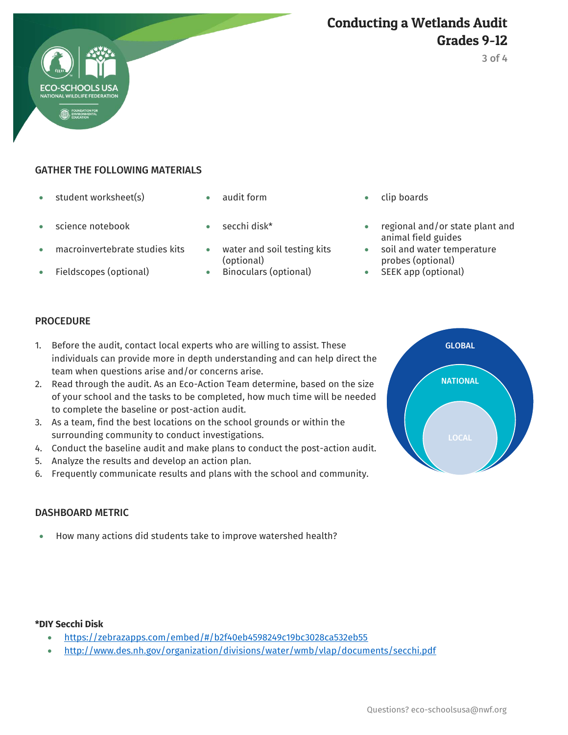

# GATHER THE FOLLOWING MATERIALS

- student worksheet(s)  $\bullet$  audit form  $\bullet$  clip boards
- 
- macroinvertebrate studies kits water and soil testing kits
- 
- 
- 
- (optional)
- 
- 
- science notebook secchi disk\* regional and/or state plant and animal field guides
	- soil and water temperature probes (optional)
- Fieldscopes (optional)  $\bullet$  Binoculars (optional)  $\bullet$  SEEK app (optional)

### **PROCEDURE**

- 1. Before the audit, contact local experts who are willing to assist. These individuals can provide more in depth understanding and can help direct the team when questions arise and/or concerns arise.
- 2. Read through the audit. As an Eco-Action Team determine, based on the size of your school and the tasks to be completed, how much time will be needed to complete the baseline or post-action audit.
- 3. As a team, find the best locations on the school grounds or within the surrounding community to conduct investigations.
- 4. Conduct the baseline audit and make plans to conduct the post-action audit.
- 5. Analyze the results and develop an action plan.
- 6. Frequently communicate results and plans with the school and community.

### DASHBOARD METRIC

How many actions did students take to improve watershed health?

#### **\*DIY Secchi Disk**

- <https://zebrazapps.com/embed/#/b2f40eb4598249c19bc3028ca532eb55>
- <http://www.des.nh.gov/organization/divisions/water/wmb/vlap/documents/secchi.pdf>